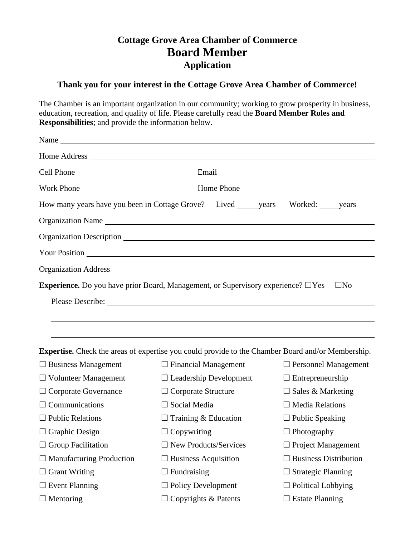## **Cottage Grove Area Chamber of Commerce Board Member Application**

## **Thank you for your interest in the Cottage Grove Area Chamber of Commerce!**

The Chamber is an important organization in our community; working to grow prosperity in business, education, recreation, and quality of life. Please carefully read the **Board Member Roles and Responsibilities**; and provide the information below.

| How many years have you been in Cottage Grove? Lived _______ years Worked: ______ years                  |                                 |                             |
|----------------------------------------------------------------------------------------------------------|---------------------------------|-----------------------------|
| Organization Name                                                                                        |                                 |                             |
|                                                                                                          |                                 |                             |
|                                                                                                          |                                 |                             |
|                                                                                                          |                                 |                             |
| <b>Experience.</b> Do you have prior Board, Management, or Supervisory experience? $\Box$ Yes            |                                 | $\square$ No                |
|                                                                                                          | Please Describe: New York: 2008 |                             |
|                                                                                                          |                                 |                             |
|                                                                                                          |                                 |                             |
| <b>Expertise.</b> Check the areas of expertise you could provide to the Chamber Board and/or Membership. |                                 |                             |
| $\Box$ Business Management                                                                               | $\Box$ Financial Management     | $\Box$ Personnel Management |
| $\Box$ Volunteer Management                                                                              | $\Box$ Leadership Development   | $\Box$ Entrepreneurship     |
| $\Box$ Corporate Governance                                                                              | $\Box$ Corporate Structure      | $\Box$ Sales & Marketing    |
| $\Box$ Communications                                                                                    | $\Box$ Social Media             | $\Box$ Media Relations      |
| $\Box$ Public Relations                                                                                  | $\Box$ Training & Education     | $\Box$ Public Speaking      |
| $\Box$ Graphic Design                                                                                    | $\Box$ Copywriting              | $\Box$ Photography          |

 $\Box$  Group Facilitation  $\Box$  New Products/Services  $\Box$  Project Management  $\Box$  Manufacturing Production  $\Box$  Business Acquisition  $\Box$  Business Distribution

 $\Box$  Grant Writing  $\Box$  Fundraising  $\Box$  Strategic Planning  $\square$  Event Planning  $\square$  Policy Development  $\square$  Political Lobbying

 $\Box$  Mentoring  $\Box$  Copyrights & Patents  $\Box$  Estate Planning